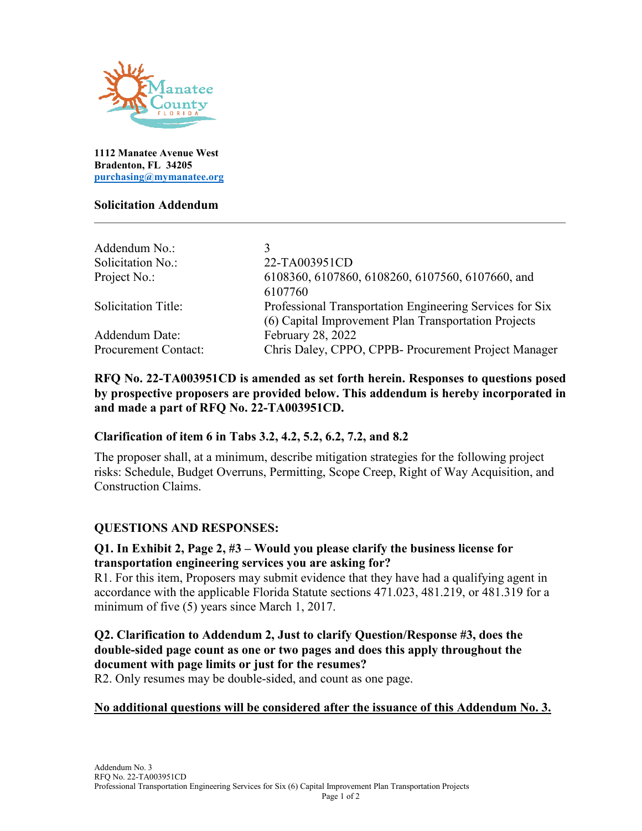

**1112 Manatee Avenue West Bradenton, FL 34205 [purchasing@mymanatee.org](mailto:purchasing@mymanatee.org)**

### **Solicitation Addendum**

| Addendum No.:               |                                                          |
|-----------------------------|----------------------------------------------------------|
| Solicitation No.:           | 22-TA003951CD                                            |
| Project No.:                | 6108360, 6107860, 6108260, 6107560, 6107660, and         |
|                             | 6107760                                                  |
| <b>Solicitation Title:</b>  | Professional Transportation Engineering Services for Six |
|                             | (6) Capital Improvement Plan Transportation Projects     |
| Addendum Date:              | February 28, 2022                                        |
| <b>Procurement Contact:</b> | Chris Daley, CPPO, CPPB- Procurement Project Manager     |

## **RFQ No. 22-TA003951CD is amended as set forth herein. Responses to questions posed by prospective proposers are provided below. This addendum is hereby incorporated in and made a part of RFQ No. 22-TA003951CD.**

# **Clarification of item 6 in Tabs 3.2, 4.2, 5.2, 6.2, 7.2, and 8.2**

The proposer shall, at a minimum, describe mitigation strategies for the following project risks: Schedule, Budget Overruns, Permitting, Scope Creep, Right of Way Acquisition, and Construction Claims.

### **QUESTIONS AND RESPONSES:**

## **Q1. In Exhibit 2, Page 2, #3 – Would you please clarify the business license for transportation engineering services you are asking for?**

R1. For this item, Proposers may submit evidence that they have had a qualifying agent in accordance with the applicable Florida Statute sections 471.023, 481.219, or 481.319 for a minimum of five (5) years since March 1, 2017.

## **Q2. Clarification to Addendum 2, Just to clarify Question/Response #3, does the double-sided page count as one or two pages and does this apply throughout the document with page limits or just for the resumes?**

R2. Only resumes may be double-sided, and count as one page.

# **No additional questions will be considered after the issuance of this Addendum No. 3.**